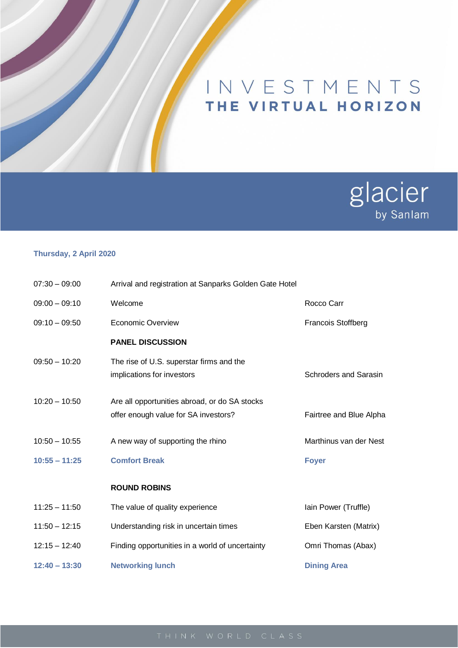## INVESTMENTS THE VIRTUAL HORIZON



## **Thursday, 2 April 2020**

| $07:30 - 09:00$ | Arrival and registration at Sanparks Golden Gate Hotel                                |                              |
|-----------------|---------------------------------------------------------------------------------------|------------------------------|
| $09:00 - 09:10$ | Welcome                                                                               | Rocco Carr                   |
| $09:10 - 09:50$ | Economic Overview                                                                     | <b>Francois Stoffberg</b>    |
|                 | <b>PANEL DISCUSSION</b>                                                               |                              |
| $09:50 - 10:20$ | The rise of U.S. superstar firms and the<br>implications for investors                | <b>Schroders and Sarasin</b> |
| $10:20 - 10:50$ | Are all opportunities abroad, or do SA stocks<br>offer enough value for SA investors? | Fairtree and Blue Alpha      |
| $10:50 - 10:55$ | A new way of supporting the rhino                                                     | Marthinus van der Nest       |
| $10:55 - 11:25$ | <b>Comfort Break</b>                                                                  | <b>Foyer</b>                 |
|                 | <b>ROUND ROBINS</b>                                                                   |                              |
| $11:25 - 11:50$ | The value of quality experience                                                       | lain Power (Truffle)         |
| $11:50 - 12:15$ | Understanding risk in uncertain times                                                 | Eben Karsten (Matrix)        |
| $12:15 - 12:40$ | Finding opportunities in a world of uncertainty                                       | Omri Thomas (Abax)           |
| $12:40 - 13:30$ | <b>Networking lunch</b>                                                               | <b>Dining Area</b>           |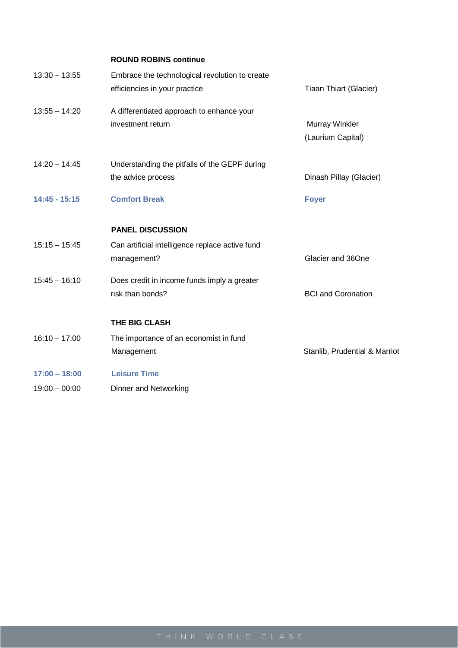| <b>ROUND ROBINS continue</b>                    |                               |
|-------------------------------------------------|-------------------------------|
| Embrace the technological revolution to create  |                               |
| efficiencies in your practice                   | Tiaan Thiart (Glacier)        |
| A differentiated approach to enhance your       |                               |
| investment return                               | <b>Murray Winkler</b>         |
|                                                 | (Laurium Capital)             |
| Understanding the pitfalls of the GEPF during   |                               |
| the advice process                              | Dinash Pillay (Glacier)       |
| <b>Comfort Break</b>                            | <b>Foyer</b>                  |
| <b>PANEL DISCUSSION</b>                         |                               |
| Can artificial intelligence replace active fund |                               |
| management?                                     | Glacier and 36One             |
| Does credit in income funds imply a greater     |                               |
| risk than bonds?                                | <b>BCI</b> and Coronation     |
| THE BIG CLASH                                   |                               |
| The importance of an economist in fund          |                               |
| Management                                      | Stanlib, Prudential & Marriot |
| <b>Leisure Time</b>                             |                               |
| Dinner and Networking                           |                               |
|                                                 |                               |